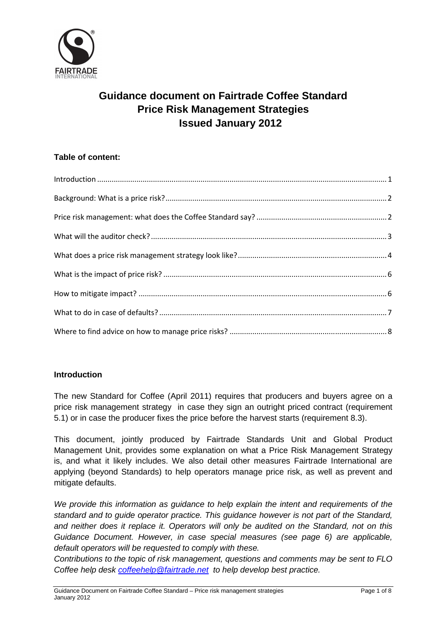

# **Guidance document on Fairtrade Coffee Standard Price Risk Management Strategies Issued January 2012**

# **Table of content:**

| $\label{lem:1} \mbox{Introduction} \,\, \ldots \,\, \ldots \,\, \ldots \,\, \ldots \,\, \ldots \,\, \ldots \,\, \ldots \,\, \ldots \,\, \ldots \,\, \ldots \,\, \ldots \,\, \ldots \,\, \ldots \,\, \ldots \,\, \ldots \,\, \ldots \,\, \ldots \,\, \ldots \,\, \ldots \,\, \ldots \,\, \ldots \,\, \ldots \,\, \ldots \,\, \ldots \,\, \ldots \,\, \ldots \,\, \ldots \,\, \ldots \,\, \ldots \,\, \ldots \,\, \ldots \,\, \ldots \,\, \ldots \,\, \ldots \,\,$ |  |
|------------------------------------------------------------------------------------------------------------------------------------------------------------------------------------------------------------------------------------------------------------------------------------------------------------------------------------------------------------------------------------------------------------------------------------------------------------------|--|
|                                                                                                                                                                                                                                                                                                                                                                                                                                                                  |  |
|                                                                                                                                                                                                                                                                                                                                                                                                                                                                  |  |
|                                                                                                                                                                                                                                                                                                                                                                                                                                                                  |  |
|                                                                                                                                                                                                                                                                                                                                                                                                                                                                  |  |
|                                                                                                                                                                                                                                                                                                                                                                                                                                                                  |  |
|                                                                                                                                                                                                                                                                                                                                                                                                                                                                  |  |
|                                                                                                                                                                                                                                                                                                                                                                                                                                                                  |  |
|                                                                                                                                                                                                                                                                                                                                                                                                                                                                  |  |
|                                                                                                                                                                                                                                                                                                                                                                                                                                                                  |  |

# **Introduction**

The new Standard for Coffee (April 2011) requires that producers and buyers agree on a price risk management strategy in case they sign an outright priced contract (requirement 5.1) or in case the producer fixes the price before the harvest starts (requirement 8.3).

This document, jointly produced by Fairtrade Standards Unit and Global Product Management Unit, provides some explanation on what a Price Risk Management Strategy is, and what it likely includes. We also detail other measures Fairtrade International are applying (beyond Standards) to help operators manage price risk, as well as prevent and mitigate defaults.

We provide this information as guidance to help explain the intent and requirements of the standard and to guide operator practice. This guidance however is not part of the Standard, and neither does it replace it. Operators will only be audited on the Standard, not on this Guidance Document. However, in case special measures (see page 6) are applicable, default operators will be requested to comply with these.

Contributions to the topic of risk management, questions and comments may be sent to FLO Coffee help desk coffeehelp@fairtrade.net to help develop best practice.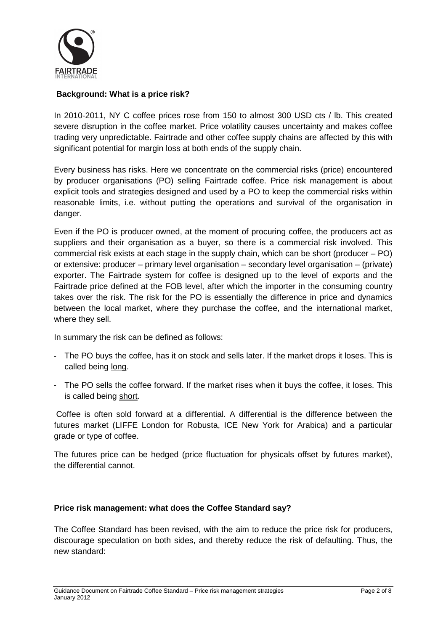

# **Background: What is a price risk?**

In 2010-2011, NY C coffee prices rose from 150 to almost 300 USD cts / lb. This created severe disruption in the coffee market. Price volatility causes uncertainty and makes coffee trading very unpredictable. Fairtrade and other coffee supply chains are affected by this with significant potential for margin loss at both ends of the supply chain.

Every business has risks. Here we concentrate on the commercial risks (price) encountered by producer organisations (PO) selling Fairtrade coffee. Price risk management is about explicit tools and strategies designed and used by a PO to keep the commercial risks within reasonable limits, i.e. without putting the operations and survival of the organisation in danger.

Even if the PO is producer owned, at the moment of procuring coffee, the producers act as suppliers and their organisation as a buyer, so there is a commercial risk involved. This commercial risk exists at each stage in the supply chain, which can be short (producer – PO) or extensive: producer – primary level organisation – secondary level organisation – (private) exporter. The Fairtrade system for coffee is designed up to the level of exports and the Fairtrade price defined at the FOB level, after which the importer in the consuming country takes over the risk. The risk for the PO is essentially the difference in price and dynamics between the local market, where they purchase the coffee, and the international market, where they sell.

In summary the risk can be defined as follows:

- The PO buys the coffee, has it on stock and sells later. If the market drops it loses. This is called being long.
- The PO sells the coffee forward. If the market rises when it buys the coffee, it loses. This is called being short.

 Coffee is often sold forward at a differential. A differential is the difference between the futures market (LIFFE London for Robusta, ICE New York for Arabica) and a particular grade or type of coffee.

The futures price can be hedged (price fluctuation for physicals offset by futures market), the differential cannot.

#### **Price risk management: what does the Coffee Standard say?**

The Coffee Standard has been revised, with the aim to reduce the price risk for producers, discourage speculation on both sides, and thereby reduce the risk of defaulting. Thus, the new standard: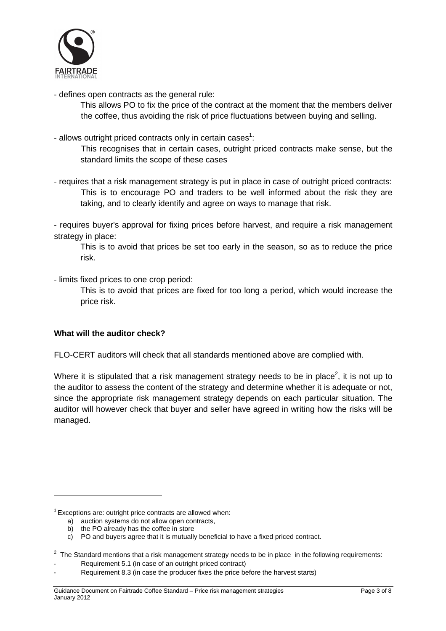

- defines open contracts as the general rule:

This allows PO to fix the price of the contract at the moment that the members deliver the coffee, thus avoiding the risk of price fluctuations between buying and selling.

- allows outright priced contracts only in certain cases<sup>1</sup>:

 This recognises that in certain cases, outright priced contracts make sense, but the standard limits the scope of these cases

- requires that a risk management strategy is put in place in case of outright priced contracts: This is to encourage PO and traders to be well informed about the risk they are taking, and to clearly identify and agree on ways to manage that risk.

- requires buyer's approval for fixing prices before harvest, and require a risk management strategy in place:

 This is to avoid that prices be set too early in the season, so as to reduce the price risk.

- limits fixed prices to one crop period:

 This is to avoid that prices are fixed for too long a period, which would increase the price risk.

# **What will the auditor check?**

FLO-CERT auditors will check that all standards mentioned above are complied with.

Where it is stipulated that a risk management strategy needs to be in place<sup>2</sup>, it is not up to the auditor to assess the content of the strategy and determine whether it is adequate or not, since the appropriate risk management strategy depends on each particular situation. The auditor will however check that buyer and seller have agreed in writing how the risks will be managed.

 $\overline{a}$ 

 $1$  Exceptions are: outright price contracts are allowed when:

a) auction systems do not allow open contracts,

b) the PO already has the coffee in store

c) PO and buyers agree that it is mutually beneficial to have a fixed priced contract.

 $2$  The Standard mentions that a risk management strategy needs to be in place in the following requirements:

Requirement 5.1 (in case of an outright priced contract)

Requirement 8.3 (in case the producer fixes the price before the harvest starts)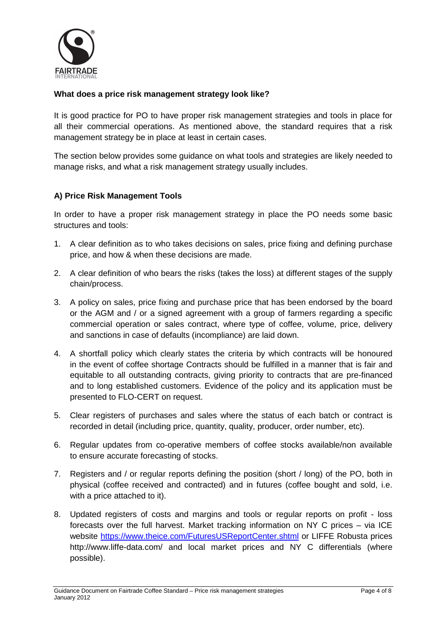

## **What does a price risk management strategy look like?**

It is good practice for PO to have proper risk management strategies and tools in place for all their commercial operations. As mentioned above, the standard requires that a risk management strategy be in place at least in certain cases.

The section below provides some guidance on what tools and strategies are likely needed to manage risks, and what a risk management strategy usually includes.

#### **A) Price Risk Management Tools**

In order to have a proper risk management strategy in place the PO needs some basic structures and tools:

- 1. A clear definition as to who takes decisions on sales, price fixing and defining purchase price, and how & when these decisions are made.
- 2. A clear definition of who bears the risks (takes the loss) at different stages of the supply chain/process.
- 3. A policy on sales, price fixing and purchase price that has been endorsed by the board or the AGM and / or a signed agreement with a group of farmers regarding a specific commercial operation or sales contract, where type of coffee, volume, price, delivery and sanctions in case of defaults (incompliance) are laid down.
- 4. A shortfall policy which clearly states the criteria by which contracts will be honoured in the event of coffee shortage Contracts should be fulfilled in a manner that is fair and equitable to all outstanding contracts, giving priority to contracts that are pre-financed and to long established customers. Evidence of the policy and its application must be presented to FLO-CERT on request.
- 5. Clear registers of purchases and sales where the status of each batch or contract is recorded in detail (including price, quantity, quality, producer, order number, etc).
- 6. Regular updates from co-operative members of coffee stocks available/non available to ensure accurate forecasting of stocks.
- 7. Registers and / or regular reports defining the position (short / long) of the PO, both in physical (coffee received and contracted) and in futures (coffee bought and sold, i.e. with a price attached to it).
- 8. Updated registers of costs and margins and tools or regular reports on profit loss forecasts over the full harvest. Market tracking information on NY C prices – via ICE website https://www.theice.com/FuturesUSReportCenter.shtml or LIFFE Robusta prices http://www.liffe-data.com/ and local market prices and NY C differentials (where possible).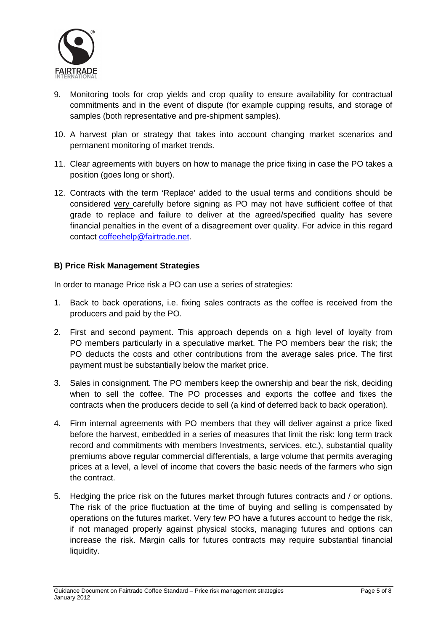

- 9. Monitoring tools for crop yields and crop quality to ensure availability for contractual commitments and in the event of dispute (for example cupping results, and storage of samples (both representative and pre-shipment samples).
- 10. A harvest plan or strategy that takes into account changing market scenarios and permanent monitoring of market trends.
- 11. Clear agreements with buyers on how to manage the price fixing in case the PO takes a position (goes long or short).
- 12. Contracts with the term 'Replace' added to the usual terms and conditions should be considered very carefully before signing as PO may not have sufficient coffee of that grade to replace and failure to deliver at the agreed/specified quality has severe financial penalties in the event of a disagreement over quality. For advice in this regard contact coffeehelp@fairtrade.net.

# **B) Price Risk Management Strategies**

In order to manage Price risk a PO can use a series of strategies:

- 1. Back to back operations, i.e. fixing sales contracts as the coffee is received from the producers and paid by the PO.
- 2. First and second payment. This approach depends on a high level of loyalty from PO members particularly in a speculative market. The PO members bear the risk; the PO deducts the costs and other contributions from the average sales price. The first payment must be substantially below the market price.
- 3. Sales in consignment. The PO members keep the ownership and bear the risk, deciding when to sell the coffee. The PO processes and exports the coffee and fixes the contracts when the producers decide to sell (a kind of deferred back to back operation).
- 4. Firm internal agreements with PO members that they will deliver against a price fixed before the harvest, embedded in a series of measures that limit the risk: long term track record and commitments with members Investments, services, etc.), substantial quality premiums above regular commercial differentials, a large volume that permits averaging prices at a level, a level of income that covers the basic needs of the farmers who sign the contract.
- 5. Hedging the price risk on the futures market through futures contracts and / or options. The risk of the price fluctuation at the time of buying and selling is compensated by operations on the futures market. Very few PO have a futures account to hedge the risk, if not managed properly against physical stocks, managing futures and options can increase the risk. Margin calls for futures contracts may require substantial financial liquidity.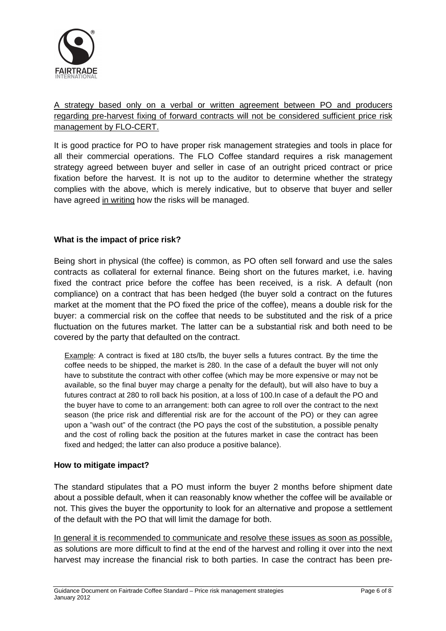

# A strategy based only on a verbal or written agreement between PO and producers regarding pre-harvest fixing of forward contracts will not be considered sufficient price risk management by FLO-CERT.

It is good practice for PO to have proper risk management strategies and tools in place for all their commercial operations. The FLO Coffee standard requires a risk management strategy agreed between buyer and seller in case of an outright priced contract or price fixation before the harvest. It is not up to the auditor to determine whether the strategy complies with the above, which is merely indicative, but to observe that buyer and seller have agreed in writing how the risks will be managed.

# **What is the impact of price risk?**

Being short in physical (the coffee) is common, as PO often sell forward and use the sales contracts as collateral for external finance. Being short on the futures market, i.e. having fixed the contract price before the coffee has been received, is a risk. A default (non compliance) on a contract that has been hedged (the buyer sold a contract on the futures market at the moment that the PO fixed the price of the coffee), means a double risk for the buyer: a commercial risk on the coffee that needs to be substituted and the risk of a price fluctuation on the futures market. The latter can be a substantial risk and both need to be covered by the party that defaulted on the contract.

Example: A contract is fixed at 180 cts/lb, the buyer sells a futures contract. By the time the coffee needs to be shipped, the market is 280. In the case of a default the buyer will not only have to substitute the contract with other coffee (which may be more expensive or may not be available, so the final buyer may charge a penalty for the default), but will also have to buy a futures contract at 280 to roll back his position, at a loss of 100.In case of a default the PO and the buyer have to come to an arrangement: both can agree to roll over the contract to the next season (the price risk and differential risk are for the account of the PO) or they can agree upon a "wash out" of the contract (the PO pays the cost of the substitution, a possible penalty and the cost of rolling back the position at the futures market in case the contract has been fixed and hedged; the latter can also produce a positive balance).

# **How to mitigate impact?**

The standard stipulates that a PO must inform the buyer 2 months before shipment date about a possible default, when it can reasonably know whether the coffee will be available or not. This gives the buyer the opportunity to look for an alternative and propose a settlement of the default with the PO that will limit the damage for both.

In general it is recommended to communicate and resolve these issues as soon as possible, as solutions are more difficult to find at the end of the harvest and rolling it over into the next harvest may increase the financial risk to both parties. In case the contract has been pre-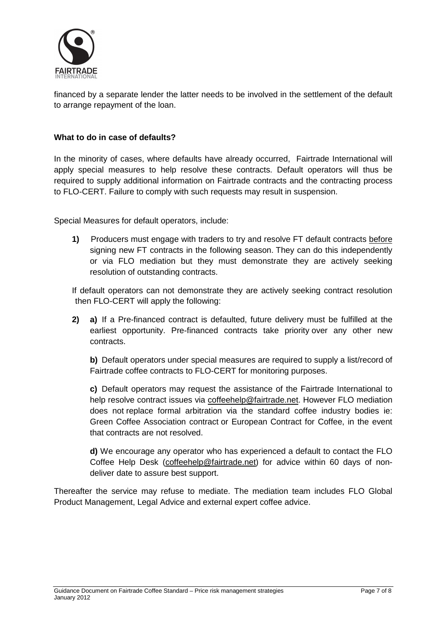

financed by a separate lender the latter needs to be involved in the settlement of the default to arrange repayment of the loan.

## **What to do in case of defaults?**

In the minority of cases, where defaults have already occurred, Fairtrade International will apply special measures to help resolve these contracts. Default operators will thus be required to supply additional information on Fairtrade contracts and the contracting process to FLO-CERT. Failure to comply with such requests may result in suspension.

Special Measures for default operators, include:

**1)** Producers must engage with traders to try and resolve FT default contracts before signing new FT contracts in the following season. They can do this independently or via FLO mediation but they must demonstrate they are actively seeking resolution of outstanding contracts.

If default operators can not demonstrate they are actively seeking contract resolution then FLO-CERT will apply the following:

**2) a)** If a Pre-financed contract is defaulted, future delivery must be fulfilled at the earliest opportunity. Pre-financed contracts take priority over any other new contracts.

 **b)** Default operators under special measures are required to supply a list/record of Fairtrade coffee contracts to FLO-CERT for monitoring purposes.

 **c)** Default operators may request the assistance of the Fairtrade International to help resolve contract issues via coffeehelp@fairtrade.net. However FLO mediation does not replace formal arbitration via the standard coffee industry bodies ie: Green Coffee Association contract or European Contract for Coffee, in the event that contracts are not resolved.

 **d)** We encourage any operator who has experienced a default to contact the FLO Coffee Help Desk (coffeehelp@fairtrade.net) for advice within 60 days of nondeliver date to assure best support.

Thereafter the service may refuse to mediate. The mediation team includes FLO Global Product Management, Legal Advice and external expert coffee advice.